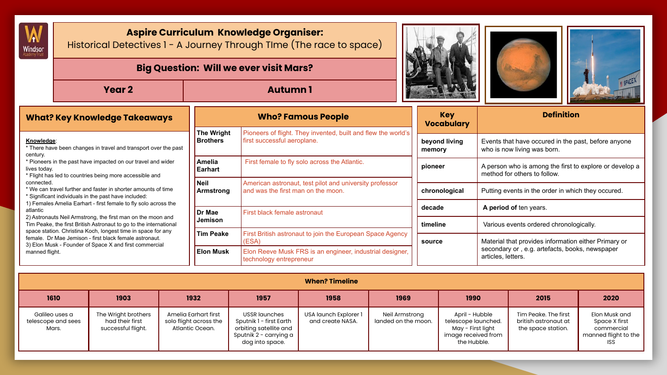

## **Aspire Curriculum Knowledge Organiser:**

Historical Detectives 1 - A Journey Through TIme (The race to space)

|            |                                                                 |                               | <b>Big Question: Will we ever visit Mars?</b>                                                |                                 | E SPACI                                             |
|------------|-----------------------------------------------------------------|-------------------------------|----------------------------------------------------------------------------------------------|---------------------------------|-----------------------------------------------------|
|            | Year 2                                                          |                               | <b>Autumn1</b>                                                                               |                                 |                                                     |
|            | <b>What? Key Knowledge Takeaways</b>                            |                               | <b>Who? Famous People</b>                                                                    | <b>Kev</b><br><b>Vocabulary</b> | <b>Definition</b>                                   |
| Knowledge: | * There have hear ebonese in frougl and frompaned over the neet | The Wright<br><b>Brothers</b> | Pioneers of flight. They invented, built and flew the world's<br>first successful aeroplane. | beyond living                   | Events that have occured in the past, before anyone |

|                                                                                                                                                                                                  |                                                                                                                      |                                                                                     | ---------               |                                                                                         |  |
|--------------------------------------------------------------------------------------------------------------------------------------------------------------------------------------------------|----------------------------------------------------------------------------------------------------------------------|-------------------------------------------------------------------------------------|-------------------------|-----------------------------------------------------------------------------------------|--|
|                                                                                                                                                                                                  | <b>The Wright</b>                                                                                                    | Pioneers of flight. They invented, built and flew the world's                       |                         |                                                                                         |  |
| Knowledge:<br>* There have been changes in travel and transport over the past<br>century.                                                                                                        | <b>Brothers</b>                                                                                                      | first successful aeroplane.                                                         | beyond living<br>memory | Events that have occured in the past, before anyone<br>who is now living was born.      |  |
| * Pioneers in the past have impacted on our travel and wider<br>lives today.<br>* Flight has led to countries being more accessible and                                                          | Amelia<br>Earhart                                                                                                    | First female to fly solo across the Atlantic.                                       | pioneer                 | A person who is among the first to explore or develop a<br>method for others to follow. |  |
| connected.<br>* We can travel further and faster in shorter amounts of time<br>* Significant individuals in the past have included:                                                              | l Neil<br>American astronaut, test pilot and university professor<br>and was the first man on the moon.<br>Armstrong |                                                                                     | chronological           | Putting events in the order in which they occured.                                      |  |
| 1) Females Amelia Earhart - first female to fly solo across the<br>atlantic                                                                                                                      | Dr Mae                                                                                                               | First black female astronaut                                                        | decade                  | A period of ten years.                                                                  |  |
| 2) Astronauts Neil Armstrong, the first man on the moon and<br>Tim Peake, the first British Astronaut to go to the international<br>space station. Christina Koch, longest time in space for any | <b>Jemison</b>                                                                                                       |                                                                                     | timeline                | Various events ordered chronologically.                                                 |  |
| female. Dr Mae Jemison - first black female astronaut.<br>3) Elon Musk - Founder of Space X and first commercial                                                                                 | <b>Tim Peake</b>                                                                                                     | First British astronaut to join the European Space Agency<br>(ESA)                  | source                  | Material that provides information either Primary or                                    |  |
| manned flight.                                                                                                                                                                                   | <b>Elon Musk</b>                                                                                                     | Elon Reeve Musk FRS is an engineer, industrial designer,<br>technology entrepreneur |                         | secondary or, e.g. artefacts, books, newspaper<br>articles, letters.                    |  |

|                                               | <b>When? Timeline</b>                                        |                                                                   |                                                                                                                 |                                           |                                       |                                                                                                  |                                                                    |                                                                                    |  |  |  |  |  |
|-----------------------------------------------|--------------------------------------------------------------|-------------------------------------------------------------------|-----------------------------------------------------------------------------------------------------------------|-------------------------------------------|---------------------------------------|--------------------------------------------------------------------------------------------------|--------------------------------------------------------------------|------------------------------------------------------------------------------------|--|--|--|--|--|
| 1610                                          | 1903                                                         | 1932                                                              | 1957                                                                                                            | 1958                                      | 1969                                  | 1990                                                                                             | 2015                                                               | 2020                                                                               |  |  |  |  |  |
| Galileo uses a<br>telescope and sees<br>Mars. | The Wright brothers<br>had their first<br>successful flight. | Amelia Earhart first<br>solo flight across the<br>Atlantic Ocean. | USSR launches<br>Sputnik 1 - first Earth<br>orbiting satellite and<br>Sputnik 2 - carrying a<br>dog into space. | USA launch Explorer 1<br>and create NASA. | Neil Armstrong<br>landed on the moon. | April - Hubble<br>telescope launched.<br>May - First light<br>image received from<br>the Hubble. | Tim Peake. The first<br>british astronaut at<br>the space station. | Elon Musk and<br>Space X first<br>commercial<br>manned flight to the<br><b>ISS</b> |  |  |  |  |  |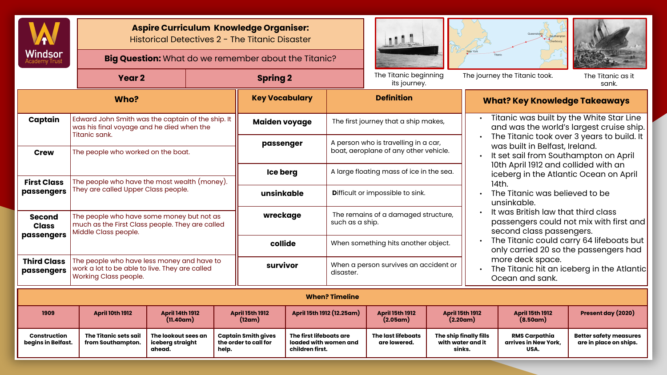

**Aspire Curriculum Knowledge Organiser:**  Historical Detectives 2 - The Titanic Disaster

**Big Question:** What do we remember about the Titanic?







|                                  | Year <sub>2</sub>                                                                                                              |                 |                                                     | <b>Spring 2</b>                                                     |                                          |                                                        | The Titanic beginning<br>its journey.                 |                                                                                                                              | The journey the Titanic took.                                                                                                                                                                                                                             |                                                         | The Titanic as it<br>sank.                                                                                            |  |  |
|----------------------------------|--------------------------------------------------------------------------------------------------------------------------------|-----------------|-----------------------------------------------------|---------------------------------------------------------------------|------------------------------------------|--------------------------------------------------------|-------------------------------------------------------|------------------------------------------------------------------------------------------------------------------------------|-----------------------------------------------------------------------------------------------------------------------------------------------------------------------------------------------------------------------------------------------------------|---------------------------------------------------------|-----------------------------------------------------------------------------------------------------------------------|--|--|
|                                  | <b>Key Vocabulary</b>                                                                                                          |                 | <b>Definition</b>                                   |                                                                     |                                          | <b>What? Key Knowledge Takeaways</b>                   |                                                       |                                                                                                                              |                                                                                                                                                                                                                                                           |                                                         |                                                                                                                       |  |  |
| Captain                          | Edward John Smith was the captain of the ship. It<br>was his final voyage and he died when the<br>Titanic sank.                |                 |                                                     |                                                                     | Maiden voyage                            |                                                        |                                                       | Titanic was built by the White Star Line<br>The first journey that a ship makes,<br>and was the world's largest cruise ship. |                                                                                                                                                                                                                                                           |                                                         |                                                                                                                       |  |  |
| Crew                             | The people who worked on the boat.                                                                                             |                 |                                                     |                                                                     | passenger                                |                                                        |                                                       | A person who is travelling in a car,<br>boat, aeroplane of any other vehicle.                                                |                                                                                                                                                                                                                                                           |                                                         | The Titanic took over 3 years to build. It<br>was built in Belfast, Ireland.<br>It set sail from Southampton on April |  |  |
|                                  |                                                                                                                                | <b>Ice berg</b> |                                                     |                                                                     | A large floating mass of ice in the sea. |                                                        |                                                       | 10th April 1912 and collided with an<br>iceberg in the Atlantic Ocean on April                                               |                                                                                                                                                                                                                                                           |                                                         |                                                                                                                       |  |  |
| passengers                       | The people who have the most wealth (money). $\,$<br><b>First Class</b><br>They are called Upper Class people.                 |                 |                                                     | unsinkable                                                          |                                          |                                                        | Difficult or impossible to sink.                      |                                                                                                                              | 14th.<br>The Titanic was believed to be<br>unsinkable.<br>It was British law that third class<br>passengers could not mix with first and<br>second class passengers.<br>The Titanic could carry 64 lifeboats but<br>only carried 20 so the passengers had |                                                         |                                                                                                                       |  |  |
| <b>Second</b><br><b>Class</b>    | The people who have some money but not as<br>much as the First Class people. They are called<br>Middle Class people.           |                 |                                                     | wreckage                                                            |                                          | The remains of a damaged structure,<br>such as a ship. |                                                       |                                                                                                                              |                                                                                                                                                                                                                                                           |                                                         |                                                                                                                       |  |  |
| passengers                       |                                                                                                                                | collide         |                                                     | When something hits another object.                                 |                                          |                                                        |                                                       |                                                                                                                              |                                                                                                                                                                                                                                                           |                                                         |                                                                                                                       |  |  |
| <b>Third Class</b><br>passengers | The people who have less money and have to<br>work a lot to be able to live. They are called<br>Working Class people.          | survivor        |                                                     | disaster.                                                           | When a person survives an accident or    |                                                        |                                                       | more deck space.<br>The Titanic hit an iceberg in the Atlantic<br>Ocean and sank.                                            |                                                                                                                                                                                                                                                           |                                                         |                                                                                                                       |  |  |
|                                  | <b>When? Timeline</b>                                                                                                          |                 |                                                     |                                                                     |                                          |                                                        |                                                       |                                                                                                                              |                                                                                                                                                                                                                                                           |                                                         |                                                                                                                       |  |  |
| 1909                             | <b>April 14th 1912</b><br><b>April 15th 1912</b><br><b>April 10th 1912</b><br>(11.40am)<br>(12am)                              |                 | April 15th 1912 (12.25am)                           | <b>April 15th 1912</b><br>(2.05am)                                  |                                          | <b>April 15th 1912</b><br>(2.20am)                     |                                                       | <b>April 15th 1912</b><br>(8.50am)                                                                                           | Present day (2020)                                                                                                                                                                                                                                        |                                                         |                                                                                                                       |  |  |
| Construction                     | The Titanic sets sail<br>The lookout sees an<br>iceberg straight<br>begins in Belfast.<br>from Southampton.<br>ahead.<br>help. |                 | <b>Captain Smith gives</b><br>the order to call for | The first lifeboats are<br>loaded with women and<br>children first. |                                          | <b>The last lifeboats</b><br>are lowered.              | The ship finally fills<br>with water and it<br>sinks. |                                                                                                                              | <b>RMS Carpathia</b><br>arrives in New York,<br>USA.                                                                                                                                                                                                      | <b>Better safety measures</b><br>are in place on ships. |                                                                                                                       |  |  |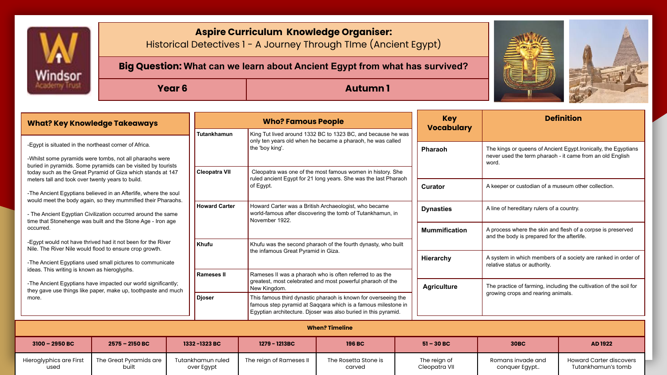

used

built

over Egypt

## **Aspire Curriculum Knowledge Organiser:**

Historical Detectives 1 - A Journey Through TIme (Ancient Egypt)

**Big Question: What can we learn about Ancient Egypt from what has survived?**

## **Year 6 Autumn 1 Autumn 1**



| <b>What? Key Knowledge Takeaways</b>                                                                                                                                                   |                                                                                                                                |                                                | <b>Who? Famous People</b>                                                                                                                   |                                                                                                                                                                  |                                                                                                                                                                                                   |                  | <b>Key</b><br><b>Vocabulary</b>                                    | <b>Definition</b>                                                                                                                                                                                            |                                |  |  |
|----------------------------------------------------------------------------------------------------------------------------------------------------------------------------------------|--------------------------------------------------------------------------------------------------------------------------------|------------------------------------------------|---------------------------------------------------------------------------------------------------------------------------------------------|------------------------------------------------------------------------------------------------------------------------------------------------------------------|---------------------------------------------------------------------------------------------------------------------------------------------------------------------------------------------------|------------------|--------------------------------------------------------------------|--------------------------------------------------------------------------------------------------------------------------------------------------------------------------------------------------------------|--------------------------------|--|--|
| -Eqypt is situated in the northeast corner of Africa.                                                                                                                                  |                                                                                                                                |                                                | Tutankhamun                                                                                                                                 | the 'boy king'.                                                                                                                                                  | King Tut lived around 1332 BC to 1323 BC, and because he was<br>only ten years old when he became a pharaoh, he was called                                                                        |                  |                                                                    | The kings or queens of Ancient Egypt. Ironically, the Egyptians                                                                                                                                              |                                |  |  |
| -Whilst some pyramids were tombs, not all pharaohs were<br>buried in pyramids. Some pyramids can be visited by tourists<br>today such as the Great Pyramid of Giza which stands at 147 |                                                                                                                                |                                                | <b>Cleopatra VII</b>                                                                                                                        | Cleopatra was one of the most famous women in history. She                                                                                                       |                                                                                                                                                                                                   |                  | never used the term pharaoh - it came from an old English<br>word. |                                                                                                                                                                                                              |                                |  |  |
| meters tall and took over twenty years to build.                                                                                                                                       | -The Ancient Egyptians believed in an Afterlife, where the soul                                                                |                                                | ruled ancient Egypt for 21 long years. She was the last Pharaoh<br>of Egypt.                                                                |                                                                                                                                                                  |                                                                                                                                                                                                   |                  | Curator                                                            | A keeper or custodian of a museum other collection.                                                                                                                                                          |                                |  |  |
| would meet the body again, so they mummified their Pharaohs.<br>- The Ancient Egyptian Civilization occurred around the same                                                           |                                                                                                                                |                                                | <b>Howard Carter</b><br>Howard Carter was a British Archaeologist, who became<br>world-famous after discovering the tomb of Tutankhamun, in |                                                                                                                                                                  |                                                                                                                                                                                                   | <b>Dynasties</b> | A line of hereditary rulers of a country.                          |                                                                                                                                                                                                              |                                |  |  |
| occurred.                                                                                                                                                                              | time that Stonehenge was built and the Stone Age - Iron age                                                                    |                                                |                                                                                                                                             | November 1922.                                                                                                                                                   |                                                                                                                                                                                                   |                  | <b>Mummification</b>                                               | A process where the skin and flesh of a corpse is preserved<br>and the body is prepared for the afterlife.<br>A system in which members of a society are ranked in order of<br>relative status or authority. |                                |  |  |
|                                                                                                                                                                                        | -Egypt would not have thrived had it not been for the River<br>Nile. The River Nile would flood to ensure crop growth.         |                                                | Khufu                                                                                                                                       | Khufu was the second pharaoh of the fourth dynasty, who built<br>the infamous Great Pyramid in Giza.<br>Rameses II was a pharaoh who is often referred to as the |                                                                                                                                                                                                   |                  |                                                                    |                                                                                                                                                                                                              |                                |  |  |
| ideas. This writing is known as hieroglyphs.                                                                                                                                           | -The Ancient Egyptians used small pictures to communicate                                                                      |                                                | <b>Rameses II</b>                                                                                                                           |                                                                                                                                                                  |                                                                                                                                                                                                   |                  | Hierarchy                                                          |                                                                                                                                                                                                              |                                |  |  |
|                                                                                                                                                                                        | -The Ancient Egyptians have impacted our world significantly;<br>they gave use things like paper, make up, toothpaste and much |                                                |                                                                                                                                             | greatest, most celebrated and most powerful pharaoh of the<br>New Kingdom.                                                                                       |                                                                                                                                                                                                   |                  | <b>Agriculture</b>                                                 | The practice of farming, including the cultivation of the soil for<br>growing crops and rearing animals.                                                                                                     |                                |  |  |
| more.                                                                                                                                                                                  |                                                                                                                                |                                                | <b>Djoser</b>                                                                                                                               |                                                                                                                                                                  | This famous third dynastic pharaoh is known for overseeing the<br>famous step pyramid at Saggara which is a famous milestone in<br>Eqyptian architecture. Djoser was also buried in this pyramid. |                  |                                                                    |                                                                                                                                                                                                              |                                |  |  |
| <b>When? Timeline</b>                                                                                                                                                                  |                                                                                                                                |                                                |                                                                                                                                             |                                                                                                                                                                  |                                                                                                                                                                                                   |                  |                                                                    |                                                                                                                                                                                                              |                                |  |  |
| 3100 - 2950 BC                                                                                                                                                                         | $2575 - 2150 BC$                                                                                                               | 1332-1323 BC<br>1279 - 1213BC<br><b>196 BC</b> |                                                                                                                                             |                                                                                                                                                                  |                                                                                                                                                                                                   | $51 - 30 BC$     | <b>30BC</b>                                                        | AD 1922                                                                                                                                                                                                      |                                |  |  |
| Hieroalvphics are First                                                                                                                                                                | The Great Pyramids are                                                                                                         |                                                | Tutankhamun ruled                                                                                                                           | The reign of Rameses II                                                                                                                                          | The Rosetta Stone is                                                                                                                                                                              |                  | The reign of                                                       | Romans invade and                                                                                                                                                                                            | <b>Howard Carter discovers</b> |  |  |

carved

The reign of Cleopatra VII Romans invade and conquer Egypt..

Howard Carter discovers Tutankhamun's tomb